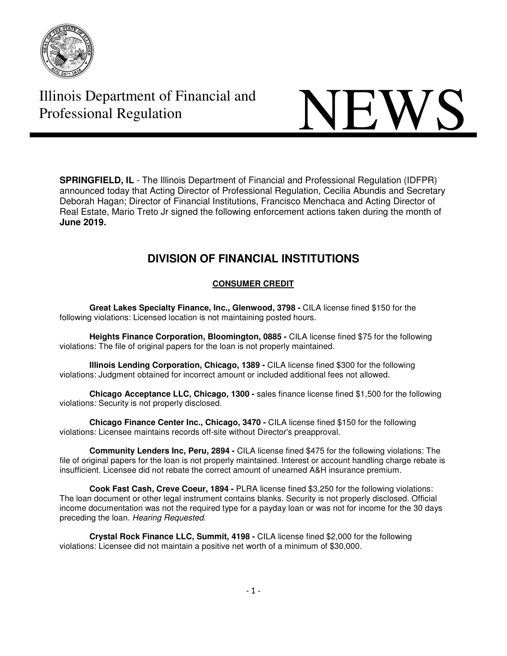

# **Illinois Department of Financial and NEWS**

**SPRINGFIELD, IL** - The Illinois Department of Financial and Professional Regulation (IDFPR) announced today that Acting Director of Professional Regulation, Cecilia Abundis and Secretary Deborah Hagan; Director of Financial Institutions, Francisco Menchaca and Acting Director of Real Estate, Mario Treto Jr signed the following enforcement actions taken during the month of **June 2019.** 

# **DIVISION OF FINANCIAL INSTITUTIONS**

## **CONSUMER CREDIT**

**Great Lakes Specialty Finance, Inc., Glenwood, 3798 -** CILA license fined \$150 for the following violations: Licensed location is not maintaining posted hours.

**Heights Finance Corporation, Bloomington, 0885 -** CILA license fined \$75 for the following violations: The file of original papers for the loan is not properly maintained.

**Illinois Lending Corporation, Chicago, 1389 -** CILA license fined \$300 for the following violations: Judgment obtained for incorrect amount or included additional fees not allowed.

**Chicago Acceptance LLC, Chicago, 1300 -** sales finance license fined \$1,500 for the following violations: Security is not properly disclosed.

**Chicago Finance Center Inc., Chicago, 3470 -** CILA license fined \$150 for the following violations: Licensee maintains records off-site without Director's preapproval.

**Community Lenders Inc, Peru, 2894 -** CILA license fined \$475 for the following violations: The file of original papers for the loan is not properly maintained. Interest or account handling charge rebate is insufficient. Licensee did not rebate the correct amount of unearned A&H insurance premium.

**Cook Fast Cash, Creve Coeur, 1894 -** PLRA license fined \$3,250 for the following violations: The loan document or other legal instrument contains blanks. Security is not properly disclosed. Official income documentation was not the required type for a payday loan or was not for income for the 30 days preceding the loan. Hearing Requested.

**Crystal Rock Finance LLC, Summit, 4198 -** CILA license fined \$2,000 for the following violations: Licensee did not maintain a positive net worth of a minimum of \$30,000.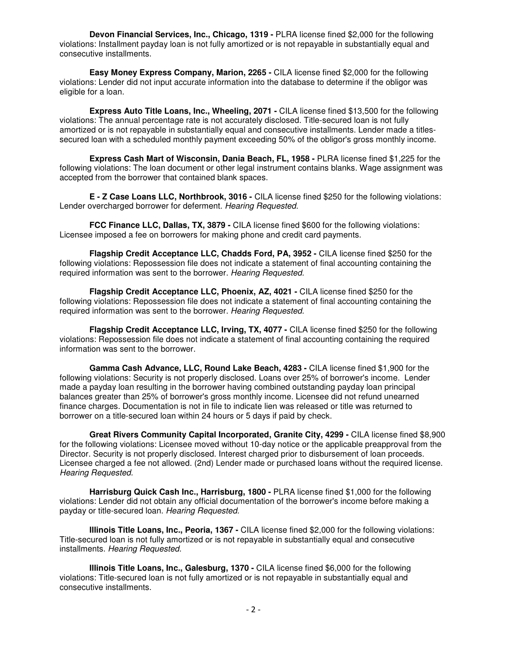**Devon Financial Services, Inc., Chicago, 1319 - PLRA license fined \$2,000 for the following** violations: Installment payday loan is not fully amortized or is not repayable in substantially equal and consecutive installments.

**Easy Money Express Company, Marion, 2265 -** CILA license fined \$2,000 for the following violations: Lender did not input accurate information into the database to determine if the obligor was eligible for a loan.

**Express Auto Title Loans, Inc., Wheeling, 2071 -** CILA license fined \$13,500 for the following violations: The annual percentage rate is not accurately disclosed. Title-secured loan is not fully amortized or is not repayable in substantially equal and consecutive installments. Lender made a titlessecured loan with a scheduled monthly payment exceeding 50% of the obligor's gross monthly income.

**Express Cash Mart of Wisconsin, Dania Beach, FL, 1958 -** PLRA license fined \$1,225 for the following violations: The loan document or other legal instrument contains blanks. Wage assignment was accepted from the borrower that contained blank spaces.

**E - Z Case Loans LLC, Northbrook, 3016 -** CILA license fined \$250 for the following violations: Lender overcharged borrower for deferment. Hearing Requested.

**FCC Finance LLC, Dallas, TX, 3879 -** CILA license fined \$600 for the following violations: Licensee imposed a fee on borrowers for making phone and credit card payments.

**Flagship Credit Acceptance LLC, Chadds Ford, PA, 3952 -** CILA license fined \$250 for the following violations: Repossession file does not indicate a statement of final accounting containing the required information was sent to the borrower. Hearing Requested.

**Flagship Credit Acceptance LLC, Phoenix, AZ, 4021 -** CILA license fined \$250 for the following violations: Repossession file does not indicate a statement of final accounting containing the required information was sent to the borrower. Hearing Requested.

**Flagship Credit Acceptance LLC, Irving, TX, 4077 - CILA license fined \$250 for the following** violations: Repossession file does not indicate a statement of final accounting containing the required information was sent to the borrower.

**Gamma Cash Advance, LLC, Round Lake Beach, 4283 -** CILA license fined \$1,900 for the following violations: Security is not properly disclosed. Loans over 25% of borrower's income. Lender made a payday loan resulting in the borrower having combined outstanding payday loan principal balances greater than 25% of borrower's gross monthly income. Licensee did not refund unearned finance charges. Documentation is not in file to indicate lien was released or title was returned to borrower on a title-secured loan within 24 hours or 5 days if paid by check.

**Great Rivers Community Capital Incorporated, Granite City, 4299 - CILA license fined \$8,900** for the following violations: Licensee moved without 10-day notice or the applicable preapproval from the Director. Security is not properly disclosed. Interest charged prior to disbursement of loan proceeds. Licensee charged a fee not allowed. (2nd) Lender made or purchased loans without the required license. Hearing Requested.

**Harrisburg Quick Cash Inc., Harrisburg, 1800 -** PLRA license fined \$1,000 for the following violations: Lender did not obtain any official documentation of the borrower's income before making a payday or title-secured loan. Hearing Requested.

**Illinois Title Loans, Inc., Peoria, 1367 -** CILA license fined \$2,000 for the following violations: Title-secured loan is not fully amortized or is not repayable in substantially equal and consecutive installments. Hearing Requested.

**Illinois Title Loans, Inc., Galesburg, 1370 -** CILA license fined \$6,000 for the following violations: Title-secured loan is not fully amortized or is not repayable in substantially equal and consecutive installments.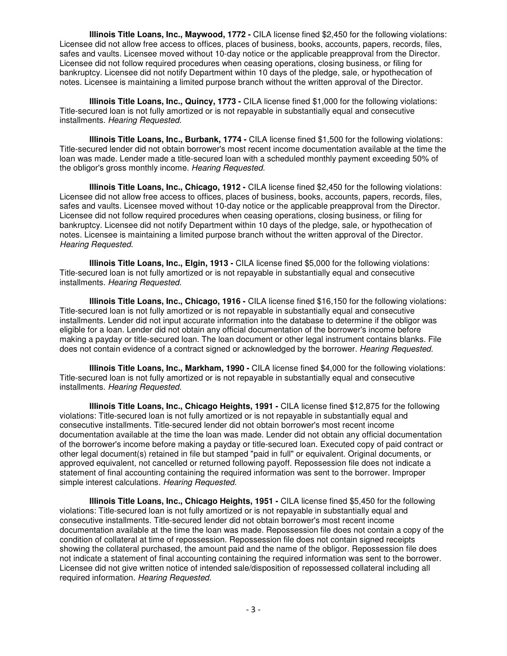**Illinois Title Loans, Inc., Maywood, 1772 -** CILA license fined \$2,450 for the following violations: Licensee did not allow free access to offices, places of business, books, accounts, papers, records, files, safes and vaults. Licensee moved without 10-day notice or the applicable preapproval from the Director. Licensee did not follow required procedures when ceasing operations, closing business, or filing for bankruptcy. Licensee did not notify Department within 10 days of the pledge, sale, or hypothecation of notes. Licensee is maintaining a limited purpose branch without the written approval of the Director.

**Illinois Title Loans, Inc., Quincy, 1773 -** CILA license fined \$1,000 for the following violations: Title-secured loan is not fully amortized or is not repayable in substantially equal and consecutive installments. Hearing Requested.

**Illinois Title Loans, Inc., Burbank, 1774 -** CILA license fined \$1,500 for the following violations: Title-secured lender did not obtain borrower's most recent income documentation available at the time the loan was made. Lender made a title-secured loan with a scheduled monthly payment exceeding 50% of the obligor's gross monthly income. Hearing Requested.

**Illinois Title Loans, Inc., Chicago, 1912 -** CILA license fined \$2,450 for the following violations: Licensee did not allow free access to offices, places of business, books, accounts, papers, records, files, safes and vaults. Licensee moved without 10-day notice or the applicable preapproval from the Director. Licensee did not follow required procedures when ceasing operations, closing business, or filing for bankruptcy. Licensee did not notify Department within 10 days of the pledge, sale, or hypothecation of notes. Licensee is maintaining a limited purpose branch without the written approval of the Director. Hearing Requested.

**Illinois Title Loans, Inc., Elgin, 1913 -** CILA license fined \$5,000 for the following violations: Title-secured loan is not fully amortized or is not repayable in substantially equal and consecutive installments. Hearing Requested.

**Illinois Title Loans, Inc., Chicago, 1916 -** CILA license fined \$16,150 for the following violations: Title-secured loan is not fully amortized or is not repayable in substantially equal and consecutive installments. Lender did not input accurate information into the database to determine if the obligor was eligible for a loan. Lender did not obtain any official documentation of the borrower's income before making a payday or title-secured loan. The loan document or other legal instrument contains blanks. File does not contain evidence of a contract signed or acknowledged by the borrower. Hearing Requested.

**Illinois Title Loans, Inc., Markham, 1990 -** CILA license fined \$4,000 for the following violations: Title-secured loan is not fully amortized or is not repayable in substantially equal and consecutive installments. Hearing Requested.

**Illinois Title Loans, Inc., Chicago Heights, 1991 -** CILA license fined \$12,875 for the following violations: Title-secured loan is not fully amortized or is not repayable in substantially equal and consecutive installments. Title-secured lender did not obtain borrower's most recent income documentation available at the time the loan was made. Lender did not obtain any official documentation of the borrower's income before making a payday or title-secured loan. Executed copy of paid contract or other legal document(s) retained in file but stamped "paid in full" or equivalent. Original documents, or approved equivalent, not cancelled or returned following payoff. Repossession file does not indicate a statement of final accounting containing the required information was sent to the borrower. Improper simple interest calculations. Hearing Requested.

**Illinois Title Loans, Inc., Chicago Heights, 1951 -** CILA license fined \$5,450 for the following violations: Title-secured loan is not fully amortized or is not repayable in substantially equal and consecutive installments. Title-secured lender did not obtain borrower's most recent income documentation available at the time the loan was made. Repossession file does not contain a copy of the condition of collateral at time of repossession. Repossession file does not contain signed receipts showing the collateral purchased, the amount paid and the name of the obligor. Repossession file does not indicate a statement of final accounting containing the required information was sent to the borrower. Licensee did not give written notice of intended sale/disposition of repossessed collateral including all required information. Hearing Requested.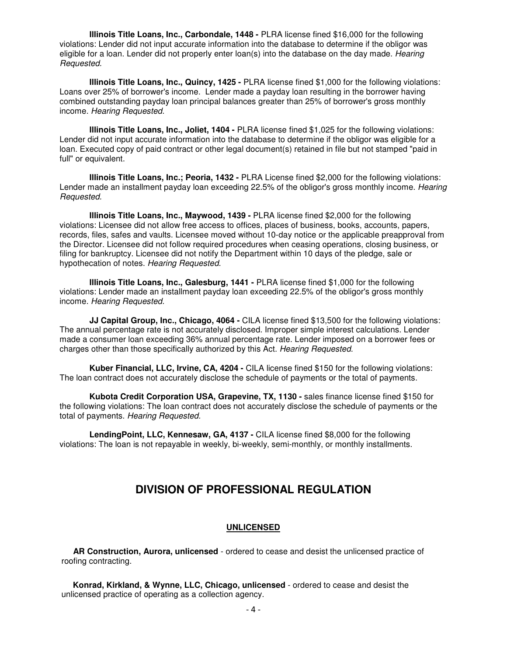**Illinois Title Loans, Inc., Carbondale, 1448 -** PLRA license fined \$16,000 for the following violations: Lender did not input accurate information into the database to determine if the obligor was eligible for a loan. Lender did not properly enter loan(s) into the database on the day made. Hearing Requested.

**Illinois Title Loans, Inc., Quincy, 1425 -** PLRA license fined \$1,000 for the following violations: Loans over 25% of borrower's income. Lender made a payday loan resulting in the borrower having combined outstanding payday loan principal balances greater than 25% of borrower's gross monthly income. Hearing Requested.

**Illinois Title Loans, Inc., Joliet, 1404 -** PLRA license fined \$1,025 for the following violations: Lender did not input accurate information into the database to determine if the obligor was eligible for a loan. Executed copy of paid contract or other legal document(s) retained in file but not stamped "paid in full" or equivalent.

**Illinois Title Loans, Inc.; Peoria, 1432 -** PLRA License fined \$2,000 for the following violations: Lender made an installment payday loan exceeding 22.5% of the obligor's gross monthly income. Hearing Requested.

**Illinois Title Loans, Inc., Maywood, 1439 -** PLRA license fined \$2,000 for the following violations: Licensee did not allow free access to offices, places of business, books, accounts, papers, records, files, safes and vaults. Licensee moved without 10-day notice or the applicable preapproval from the Director. Licensee did not follow required procedures when ceasing operations, closing business, or filing for bankruptcy. Licensee did not notify the Department within 10 days of the pledge, sale or hypothecation of notes. Hearing Requested.

**Illinois Title Loans, Inc., Galesburg, 1441 -** PLRA license fined \$1,000 for the following violations: Lender made an installment payday loan exceeding 22.5% of the obligor's gross monthly income. Hearing Requested.

**JJ Capital Group, Inc., Chicago, 4064 -** CILA license fined \$13,500 for the following violations: The annual percentage rate is not accurately disclosed. Improper simple interest calculations. Lender made a consumer loan exceeding 36% annual percentage rate. Lender imposed on a borrower fees or charges other than those specifically authorized by this Act. Hearing Requested.

**Kuber Financial, LLC, Irvine, CA, 4204 -** CILA license fined \$150 for the following violations: The loan contract does not accurately disclose the schedule of payments or the total of payments.

Kubota Credit Corporation USA, Grapevine, TX, 1130 - sales finance license fined \$150 for the following violations: The loan contract does not accurately disclose the schedule of payments or the total of payments. Hearing Requested.

**LendingPoint, LLC, Kennesaw, GA, 4137 -** CILA license fined \$8,000 for the following violations: The loan is not repayable in weekly, bi-weekly, semi-monthly, or monthly installments.

# **DIVISION OF PROFESSIONAL REGULATION**

### **UNLICENSED**

 **AR Construction, Aurora, unlicensed** - ordered to cease and desist the unlicensed practice of roofing contracting.

 **Konrad, Kirkland, & Wynne, LLC, Chicago, unlicensed** - ordered to cease and desist the unlicensed practice of operating as a collection agency.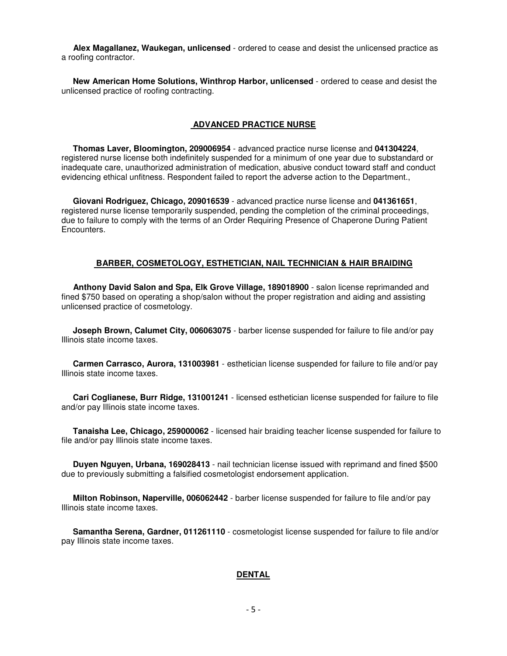**Alex Magallanez, Waukegan, unlicensed** - ordered to cease and desist the unlicensed practice as a roofing contractor.

 **New American Home Solutions, Winthrop Harbor, unlicensed** - ordered to cease and desist the unlicensed practice of roofing contracting.

#### **ADVANCED PRACTICE NURSE**

 **Thomas Laver, Bloomington, 209006954** - advanced practice nurse license and **041304224**, registered nurse license both indefinitely suspended for a minimum of one year due to substandard or inadequate care, unauthorized administration of medication, abusive conduct toward staff and conduct evidencing ethical unfitness. Respondent failed to report the adverse action to the Department.,

 **Giovani Rodriguez, Chicago, 209016539** - advanced practice nurse license and **041361651**, registered nurse license temporarily suspended, pending the completion of the criminal proceedings, due to failure to comply with the terms of an Order Requiring Presence of Chaperone During Patient Encounters.

#### **BARBER, COSMETOLOGY, ESTHETICIAN, NAIL TECHNICIAN & HAIR BRAIDING**

 **Anthony David Salon and Spa, Elk Grove Village, 189018900** - salon license reprimanded and fined \$750 based on operating a shop/salon without the proper registration and aiding and assisting unlicensed practice of cosmetology.

 **Joseph Brown, Calumet City, 006063075** - barber license suspended for failure to file and/or pay Illinois state income taxes.

 **Carmen Carrasco, Aurora, 131003981** - esthetician license suspended for failure to file and/or pay Illinois state income taxes.

 **Cari Coglianese, Burr Ridge, 131001241** - licensed esthetician license suspended for failure to file and/or pay Illinois state income taxes.

 **Tanaisha Lee, Chicago, 259000062** - licensed hair braiding teacher license suspended for failure to file and/or pay Illinois state income taxes.

 **Duyen Nguyen, Urbana, 169028413** - nail technician license issued with reprimand and fined \$500 due to previously submitting a falsified cosmetologist endorsement application.

 **Milton Robinson, Naperville, 006062442** - barber license suspended for failure to file and/or pay Illinois state income taxes.

 **Samantha Serena, Gardner, 011261110** - cosmetologist license suspended for failure to file and/or pay Illinois state income taxes.

#### **DENTAL**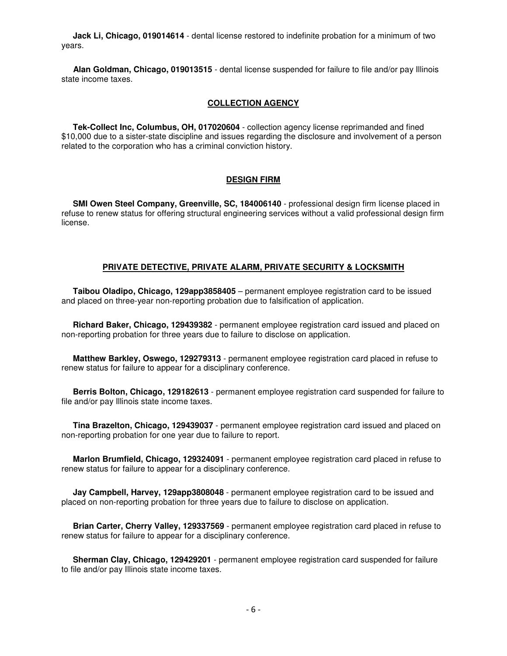**Jack Li, Chicago, 019014614** - dental license restored to indefinite probation for a minimum of two years.

 **Alan Goldman, Chicago, 019013515** - dental license suspended for failure to file and/or pay Illinois state income taxes.

#### **COLLECTION AGENCY**

 **Tek-Collect Inc, Columbus, OH, 017020604** - collection agency license reprimanded and fined \$10,000 due to a sister-state discipline and issues regarding the disclosure and involvement of a person related to the corporation who has a criminal conviction history.

### **DESIGN FIRM**

 **SMI Owen Steel Company, Greenville, SC, 184006140** - professional design firm license placed in refuse to renew status for offering structural engineering services without a valid professional design firm license.

#### **PRIVATE DETECTIVE, PRIVATE ALARM, PRIVATE SECURITY & LOCKSMITH**

 **Taibou Oladipo, Chicago, 129app3858405** – permanent employee registration card to be issued and placed on three-year non-reporting probation due to falsification of application.

 **Richard Baker, Chicago, 129439382** - permanent employee registration card issued and placed on non-reporting probation for three years due to failure to disclose on application.

 **Matthew Barkley, Oswego, 129279313** - permanent employee registration card placed in refuse to renew status for failure to appear for a disciplinary conference.

 **Berris Bolton, Chicago, 129182613** - permanent employee registration card suspended for failure to file and/or pay Illinois state income taxes.

 **Tina Brazelton, Chicago, 129439037** - permanent employee registration card issued and placed on non-reporting probation for one year due to failure to report.

 **Marlon Brumfield, Chicago, 129324091** - permanent employee registration card placed in refuse to renew status for failure to appear for a disciplinary conference.

 **Jay Campbell, Harvey, 129app3808048** - permanent employee registration card to be issued and placed on non-reporting probation for three years due to failure to disclose on application.

 **Brian Carter, Cherry Valley, 129337569** - permanent employee registration card placed in refuse to renew status for failure to appear for a disciplinary conference.

 **Sherman Clay, Chicago, 129429201** - permanent employee registration card suspended for failure to file and/or pay Illinois state income taxes.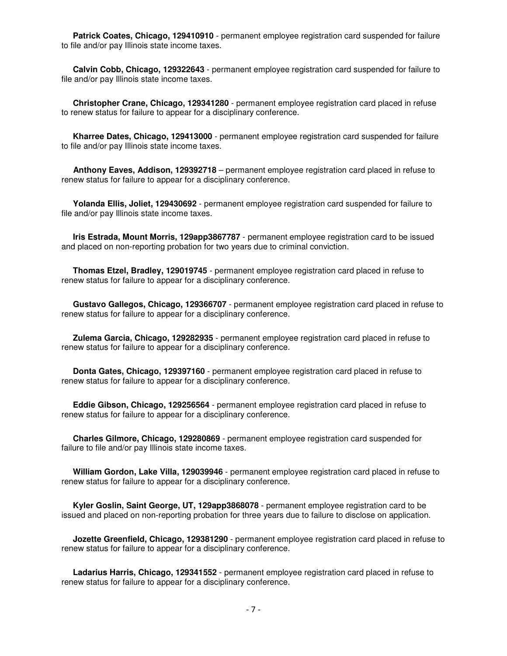**Patrick Coates, Chicago, 129410910** - permanent employee registration card suspended for failure to file and/or pay Illinois state income taxes.

 **Calvin Cobb, Chicago, 129322643** - permanent employee registration card suspended for failure to file and/or pay Illinois state income taxes.

 **Christopher Crane, Chicago, 129341280** - permanent employee registration card placed in refuse to renew status for failure to appear for a disciplinary conference.

 **Kharree Dates, Chicago, 129413000** - permanent employee registration card suspended for failure to file and/or pay Illinois state income taxes.

 **Anthony Eaves, Addison, 129392718** – permanent employee registration card placed in refuse to renew status for failure to appear for a disciplinary conference.

 **Yolanda Ellis, Joliet, 129430692** - permanent employee registration card suspended for failure to file and/or pay Illinois state income taxes.

 **Iris Estrada, Mount Morris, 129app3867787** - permanent employee registration card to be issued and placed on non-reporting probation for two years due to criminal conviction.

 **Thomas Etzel, Bradley, 129019745** - permanent employee registration card placed in refuse to renew status for failure to appear for a disciplinary conference.

 **Gustavo Gallegos, Chicago, 129366707** - permanent employee registration card placed in refuse to renew status for failure to appear for a disciplinary conference.

 **Zulema Garcia, Chicago, 129282935** - permanent employee registration card placed in refuse to renew status for failure to appear for a disciplinary conference.

 **Donta Gates, Chicago, 129397160** - permanent employee registration card placed in refuse to renew status for failure to appear for a disciplinary conference.

 **Eddie Gibson, Chicago, 129256564** - permanent employee registration card placed in refuse to renew status for failure to appear for a disciplinary conference.

 **Charles Gilmore, Chicago, 129280869** - permanent employee registration card suspended for failure to file and/or pay Illinois state income taxes.

 **William Gordon, Lake Villa, 129039946** - permanent employee registration card placed in refuse to renew status for failure to appear for a disciplinary conference.

 **Kyler Goslin, Saint George, UT, 129app3868078** - permanent employee registration card to be issued and placed on non-reporting probation for three years due to failure to disclose on application.

 **Jozette Greenfield, Chicago, 129381290** - permanent employee registration card placed in refuse to renew status for failure to appear for a disciplinary conference.

 **Ladarius Harris, Chicago, 129341552** - permanent employee registration card placed in refuse to renew status for failure to appear for a disciplinary conference.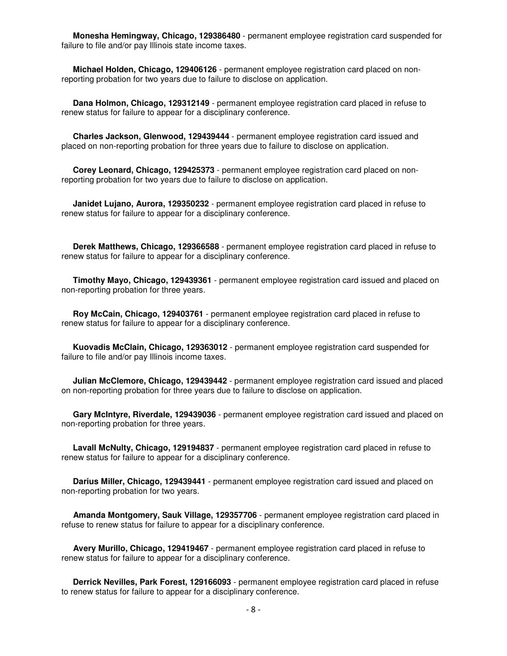**Monesha Hemingway, Chicago, 129386480** - permanent employee registration card suspended for failure to file and/or pay Illinois state income taxes.

 **Michael Holden, Chicago, 129406126** - permanent employee registration card placed on nonreporting probation for two years due to failure to disclose on application.

 **Dana Holmon, Chicago, 129312149** - permanent employee registration card placed in refuse to renew status for failure to appear for a disciplinary conference.

 **Charles Jackson, Glenwood, 129439444** - permanent employee registration card issued and placed on non-reporting probation for three years due to failure to disclose on application.

 **Corey Leonard, Chicago, 129425373** - permanent employee registration card placed on nonreporting probation for two years due to failure to disclose on application.

 **Janidet Lujano, Aurora, 129350232** - permanent employee registration card placed in refuse to renew status for failure to appear for a disciplinary conference.

 **Derek Matthews, Chicago, 129366588** - permanent employee registration card placed in refuse to renew status for failure to appear for a disciplinary conference.

 **Timothy Mayo, Chicago, 129439361** - permanent employee registration card issued and placed on non-reporting probation for three years.

 **Roy McCain, Chicago, 129403761** - permanent employee registration card placed in refuse to renew status for failure to appear for a disciplinary conference.

 **Kuovadis McClain, Chicago, 129363012** - permanent employee registration card suspended for failure to file and/or pay Illinois income taxes.

 **Julian McClemore, Chicago, 129439442** - permanent employee registration card issued and placed on non-reporting probation for three years due to failure to disclose on application.

 **Gary McIntyre, Riverdale, 129439036** - permanent employee registration card issued and placed on non-reporting probation for three years.

 **Lavall McNulty, Chicago, 129194837** - permanent employee registration card placed in refuse to renew status for failure to appear for a disciplinary conference.

 **Darius Miller, Chicago, 129439441** - permanent employee registration card issued and placed on non-reporting probation for two years.

 **Amanda Montgomery, Sauk Village, 129357706** - permanent employee registration card placed in refuse to renew status for failure to appear for a disciplinary conference.

 **Avery Murillo, Chicago, 129419467** - permanent employee registration card placed in refuse to renew status for failure to appear for a disciplinary conference.

 **Derrick Nevilles, Park Forest, 129166093** - permanent employee registration card placed in refuse to renew status for failure to appear for a disciplinary conference.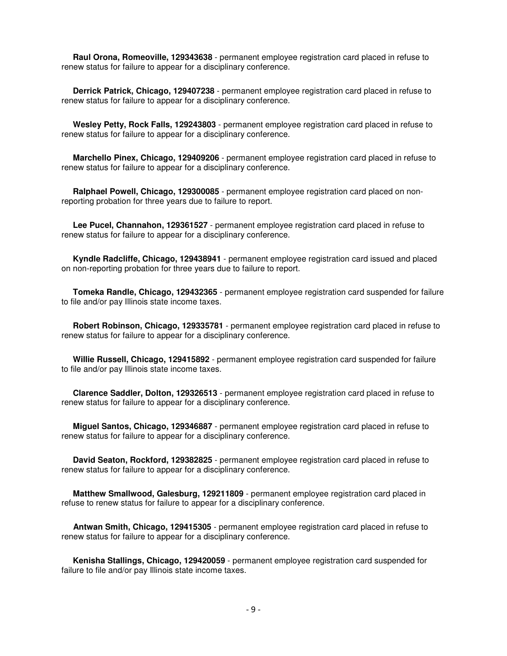**Raul Orona, Romeoville, 129343638** - permanent employee registration card placed in refuse to renew status for failure to appear for a disciplinary conference.

 **Derrick Patrick, Chicago, 129407238** - permanent employee registration card placed in refuse to renew status for failure to appear for a disciplinary conference.

 **Wesley Petty, Rock Falls, 129243803** - permanent employee registration card placed in refuse to renew status for failure to appear for a disciplinary conference.

 **Marchello Pinex, Chicago, 129409206** - permanent employee registration card placed in refuse to renew status for failure to appear for a disciplinary conference.

 **Ralphael Powell, Chicago, 129300085** - permanent employee registration card placed on nonreporting probation for three years due to failure to report.

 **Lee Pucel, Channahon, 129361527** - permanent employee registration card placed in refuse to renew status for failure to appear for a disciplinary conference.

 **Kyndle Radcliffe, Chicago, 129438941** - permanent employee registration card issued and placed on non-reporting probation for three years due to failure to report.

 **Tomeka Randle, Chicago, 129432365** - permanent employee registration card suspended for failure to file and/or pay Illinois state income taxes.

 **Robert Robinson, Chicago, 129335781** - permanent employee registration card placed in refuse to renew status for failure to appear for a disciplinary conference.

 **Willie Russell, Chicago, 129415892** - permanent employee registration card suspended for failure to file and/or pay Illinois state income taxes.

 **Clarence Saddler, Dolton, 129326513** - permanent employee registration card placed in refuse to renew status for failure to appear for a disciplinary conference.

 **Miguel Santos, Chicago, 129346887** - permanent employee registration card placed in refuse to renew status for failure to appear for a disciplinary conference.

 **David Seaton, Rockford, 129382825** - permanent employee registration card placed in refuse to renew status for failure to appear for a disciplinary conference.

 **Matthew Smallwood, Galesburg, 129211809** - permanent employee registration card placed in refuse to renew status for failure to appear for a disciplinary conference.

 **Antwan Smith, Chicago, 129415305** - permanent employee registration card placed in refuse to renew status for failure to appear for a disciplinary conference.

 **Kenisha Stallings, Chicago, 129420059** - permanent employee registration card suspended for failure to file and/or pay Illinois state income taxes.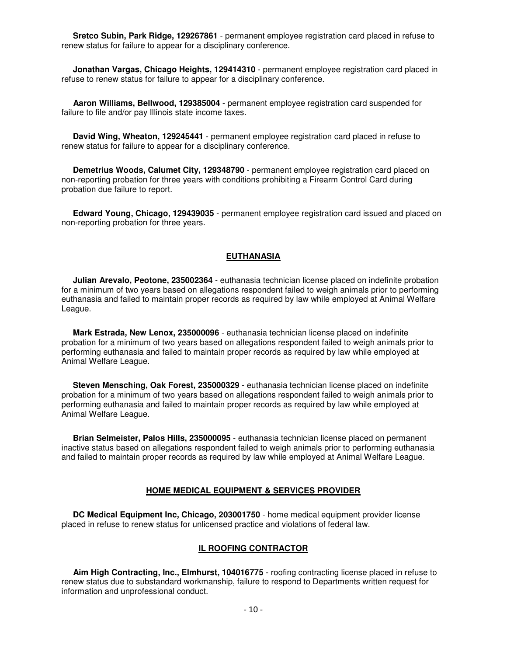**Sretco Subin, Park Ridge, 129267861** - permanent employee registration card placed in refuse to renew status for failure to appear for a disciplinary conference.

 **Jonathan Vargas, Chicago Heights, 129414310** - permanent employee registration card placed in refuse to renew status for failure to appear for a disciplinary conference.

 **Aaron Williams, Bellwood, 129385004** - permanent employee registration card suspended for failure to file and/or pay Illinois state income taxes.

 **David Wing, Wheaton, 129245441** - permanent employee registration card placed in refuse to renew status for failure to appear for a disciplinary conference.

 **Demetrius Woods, Calumet City, 129348790** - permanent employee registration card placed on non-reporting probation for three years with conditions prohibiting a Firearm Control Card during probation due failure to report.

 **Edward Young, Chicago, 129439035** - permanent employee registration card issued and placed on non-reporting probation for three years.

#### **EUTHANASIA**

 **Julian Arevalo, Peotone, 235002364** - euthanasia technician license placed on indefinite probation for a minimum of two years based on allegations respondent failed to weigh animals prior to performing euthanasia and failed to maintain proper records as required by law while employed at Animal Welfare League.

 **Mark Estrada, New Lenox, 235000096** - euthanasia technician license placed on indefinite probation for a minimum of two years based on allegations respondent failed to weigh animals prior to performing euthanasia and failed to maintain proper records as required by law while employed at Animal Welfare League.

 **Steven Mensching, Oak Forest, 235000329** - euthanasia technician license placed on indefinite probation for a minimum of two years based on allegations respondent failed to weigh animals prior to performing euthanasia and failed to maintain proper records as required by law while employed at Animal Welfare League.

 **Brian Selmeister, Palos Hills, 235000095** - euthanasia technician license placed on permanent inactive status based on allegations respondent failed to weigh animals prior to performing euthanasia and failed to maintain proper records as required by law while employed at Animal Welfare League.

#### **HOME MEDICAL EQUIPMENT & SERVICES PROVIDER**

 **DC Medical Equipment Inc, Chicago, 203001750** - home medical equipment provider license placed in refuse to renew status for unlicensed practice and violations of federal law.

#### **IL ROOFING CONTRACTOR**

 **Aim High Contracting, Inc., Elmhurst, 104016775** - roofing contracting license placed in refuse to renew status due to substandard workmanship, failure to respond to Departments written request for information and unprofessional conduct.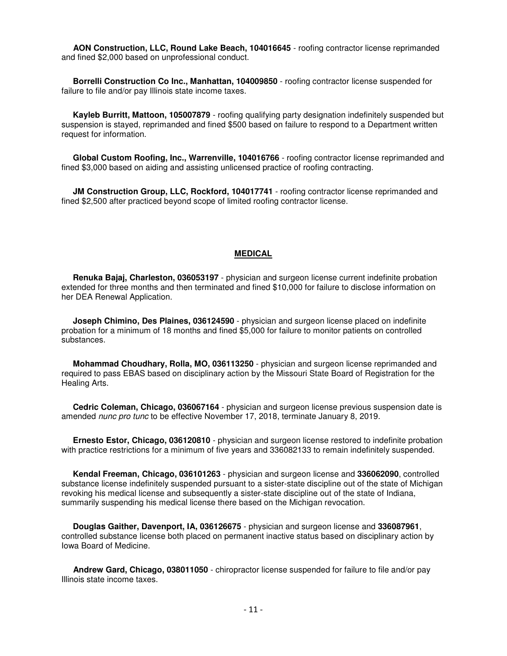**AON Construction, LLC, Round Lake Beach, 104016645** - roofing contractor license reprimanded and fined \$2,000 based on unprofessional conduct.

 **Borrelli Construction Co Inc., Manhattan, 104009850** - roofing contractor license suspended for failure to file and/or pay Illinois state income taxes.

 **Kayleb Burritt, Mattoon, 105007879** - roofing qualifying party designation indefinitely suspended but suspension is stayed, reprimanded and fined \$500 based on failure to respond to a Department written request for information.

 **Global Custom Roofing, Inc., Warrenville, 104016766** - roofing contractor license reprimanded and fined \$3,000 based on aiding and assisting unlicensed practice of roofing contracting.

 **JM Construction Group, LLC, Rockford, 104017741** - roofing contractor license reprimanded and fined \$2,500 after practiced beyond scope of limited roofing contractor license.

#### **MEDICAL**

 **Renuka Bajaj, Charleston, 036053197** - physician and surgeon license current indefinite probation extended for three months and then terminated and fined \$10,000 for failure to disclose information on her DEA Renewal Application.

 **Joseph Chimino, Des Plaines, 036124590** - physician and surgeon license placed on indefinite probation for a minimum of 18 months and fined \$5,000 for failure to monitor patients on controlled substances.

 **Mohammad Choudhary, Rolla, MO, 036113250** - physician and surgeon license reprimanded and required to pass EBAS based on disciplinary action by the Missouri State Board of Registration for the Healing Arts.

 **Cedric Coleman, Chicago, 036067164** - physician and surgeon license previous suspension date is amended nunc pro tunc to be effective November 17, 2018, terminate January 8, 2019.

 **Ernesto Estor, Chicago, 036120810** - physician and surgeon license restored to indefinite probation with practice restrictions for a minimum of five years and 336082133 to remain indefinitely suspended.

 **Kendal Freeman, Chicago, 036101263** - physician and surgeon license and **336062090**, controlled substance license indefinitely suspended pursuant to a sister-state discipline out of the state of Michigan revoking his medical license and subsequently a sister-state discipline out of the state of Indiana, summarily suspending his medical license there based on the Michigan revocation.

 **Douglas Gaither, Davenport, IA, 036126675** - physician and surgeon license and **336087961**, controlled substance license both placed on permanent inactive status based on disciplinary action by Iowa Board of Medicine.

 **Andrew Gard, Chicago, 038011050** - chiropractor license suspended for failure to file and/or pay Illinois state income taxes.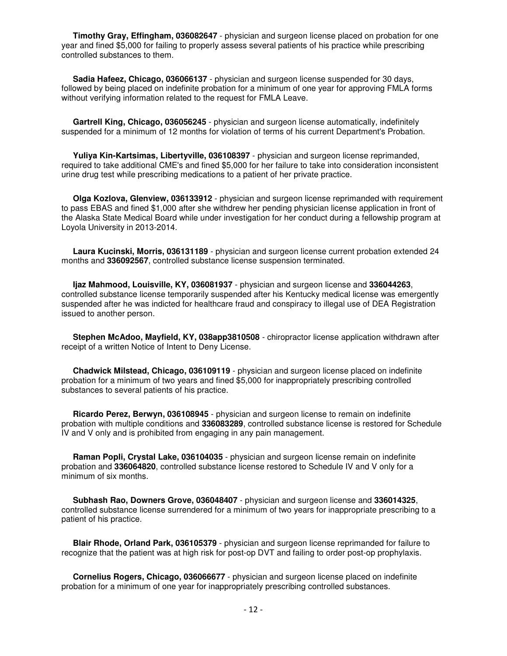**Timothy Gray, Effingham, 036082647** - physician and surgeon license placed on probation for one year and fined \$5,000 for failing to properly assess several patients of his practice while prescribing controlled substances to them.

 **Sadia Hafeez, Chicago, 036066137** - physician and surgeon license suspended for 30 days, followed by being placed on indefinite probation for a minimum of one year for approving FMLA forms without verifying information related to the request for FMLA Leave.

 **Gartrell King, Chicago, 036056245** - physician and surgeon license automatically, indefinitely suspended for a minimum of 12 months for violation of terms of his current Department's Probation.

 **Yuliya Kin-Kartsimas, Libertyville, 036108397** - physician and surgeon license reprimanded, required to take additional CME's and fined \$5,000 for her failure to take into consideration inconsistent urine drug test while prescribing medications to a patient of her private practice.

 **Olga Kozlova, Glenview, 036133912** - physician and surgeon license reprimanded with requirement to pass EBAS and fined \$1,000 after she withdrew her pending physician license application in front of the Alaska State Medical Board while under investigation for her conduct during a fellowship program at Loyola University in 2013-2014.

 **Laura Kucinski, Morris, 036131189** - physician and surgeon license current probation extended 24 months and **336092567**, controlled substance license suspension terminated.

 **Ijaz Mahmood, Louisville, KY, 036081937** - physician and surgeon license and **336044263**, controlled substance license temporarily suspended after his Kentucky medical license was emergently suspended after he was indicted for healthcare fraud and conspiracy to illegal use of DEA Registration issued to another person.

 **Stephen McAdoo, Mayfield, KY, 038app3810508** - chiropractor license application withdrawn after receipt of a written Notice of Intent to Deny License.

 **Chadwick Milstead, Chicago, 036109119** - physician and surgeon license placed on indefinite probation for a minimum of two years and fined \$5,000 for inappropriately prescribing controlled substances to several patients of his practice.

 **Ricardo Perez, Berwyn, 036108945** - physician and surgeon license to remain on indefinite probation with multiple conditions and **336083289**, controlled substance license is restored for Schedule IV and V only and is prohibited from engaging in any pain management.

 **Raman Popli, Crystal Lake, 036104035** - physician and surgeon license remain on indefinite probation and **336064820**, controlled substance license restored to Schedule IV and V only for a minimum of six months.

 **Subhash Rao, Downers Grove, 036048407** - physician and surgeon license and **336014325**, controlled substance license surrendered for a minimum of two years for inappropriate prescribing to a patient of his practice.

 **Blair Rhode, Orland Park, 036105379** - physician and surgeon license reprimanded for failure to recognize that the patient was at high risk for post-op DVT and failing to order post-op prophylaxis.

 **Cornelius Rogers, Chicago, 036066677** - physician and surgeon license placed on indefinite probation for a minimum of one year for inappropriately prescribing controlled substances.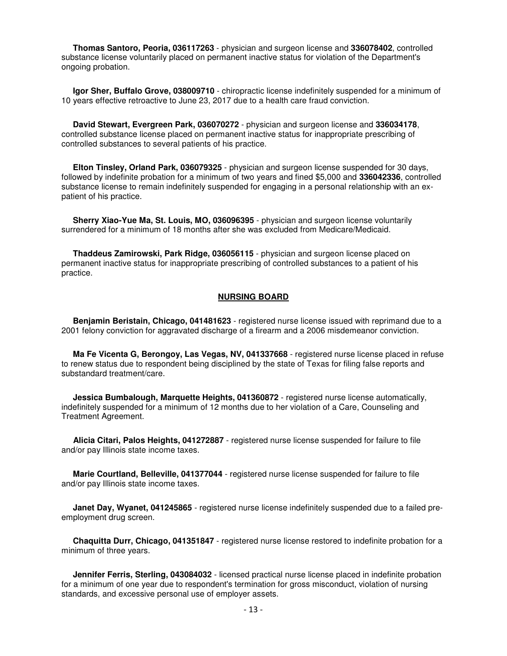**Thomas Santoro, Peoria, 036117263** - physician and surgeon license and **336078402**, controlled substance license voluntarily placed on permanent inactive status for violation of the Department's ongoing probation.

 **Igor Sher, Buffalo Grove, 038009710** - chiropractic license indefinitely suspended for a minimum of 10 years effective retroactive to June 23, 2017 due to a health care fraud conviction.

 **David Stewart, Evergreen Park, 036070272** - physician and surgeon license and **336034178**, controlled substance license placed on permanent inactive status for inappropriate prescribing of controlled substances to several patients of his practice.

 **Elton Tinsley, Orland Park, 036079325** - physician and surgeon license suspended for 30 days, followed by indefinite probation for a minimum of two years and fined \$5,000 and **336042336**, controlled substance license to remain indefinitely suspended for engaging in a personal relationship with an expatient of his practice.

 **Sherry Xiao-Yue Ma, St. Louis, MO, 036096395** - physician and surgeon license voluntarily surrendered for a minimum of 18 months after she was excluded from Medicare/Medicaid.

 **Thaddeus Zamirowski, Park Ridge, 036056115** - physician and surgeon license placed on permanent inactive status for inappropriate prescribing of controlled substances to a patient of his practice.

#### **NURSING BOARD**

 **Benjamin Beristain, Chicago, 041481623** - registered nurse license issued with reprimand due to a 2001 felony conviction for aggravated discharge of a firearm and a 2006 misdemeanor conviction.

 **Ma Fe Vicenta G, Berongoy, Las Vegas, NV, 041337668** - registered nurse license placed in refuse to renew status due to respondent being disciplined by the state of Texas for filing false reports and substandard treatment/care.

 **Jessica Bumbalough, Marquette Heights, 041360872** - registered nurse license automatically, indefinitely suspended for a minimum of 12 months due to her violation of a Care, Counseling and Treatment Agreement.

 **Alicia Citari, Palos Heights, 041272887** - registered nurse license suspended for failure to file and/or pay Illinois state income taxes.

 **Marie Courtland, Belleville, 041377044** - registered nurse license suspended for failure to file and/or pay Illinois state income taxes.

**Janet Day, Wyanet, 041245865** - registered nurse license indefinitely suspended due to a failed preemployment drug screen.

 **Chaquitta Durr, Chicago, 041351847** - registered nurse license restored to indefinite probation for a minimum of three years.

 **Jennifer Ferris, Sterling, 043084032** - licensed practical nurse license placed in indefinite probation for a minimum of one year due to respondent's termination for gross misconduct, violation of nursing standards, and excessive personal use of employer assets.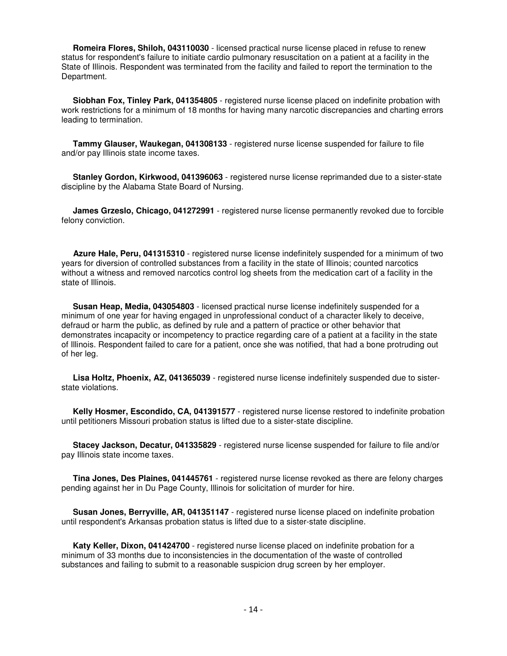**Romeira Flores, Shiloh, 043110030** - licensed practical nurse license placed in refuse to renew status for respondent's failure to initiate cardio pulmonary resuscitation on a patient at a facility in the State of Illinois. Respondent was terminated from the facility and failed to report the termination to the Department.

 **Siobhan Fox, Tinley Park, 041354805** - registered nurse license placed on indefinite probation with work restrictions for a minimum of 18 months for having many narcotic discrepancies and charting errors leading to termination.

 **Tammy Glauser, Waukegan, 041308133** - registered nurse license suspended for failure to file and/or pay Illinois state income taxes.

 **Stanley Gordon, Kirkwood, 041396063** - registered nurse license reprimanded due to a sister-state discipline by the Alabama State Board of Nursing.

 **James Grzeslo, Chicago, 041272991** - registered nurse license permanently revoked due to forcible felony conviction.

 **Azure Hale, Peru, 041315310** - registered nurse license indefinitely suspended for a minimum of two years for diversion of controlled substances from a facility in the state of Illinois; counted narcotics without a witness and removed narcotics control log sheets from the medication cart of a facility in the state of Illinois.

 **Susan Heap, Media, 043054803** - licensed practical nurse license indefinitely suspended for a minimum of one year for having engaged in unprofessional conduct of a character likely to deceive, defraud or harm the public, as defined by rule and a pattern of practice or other behavior that demonstrates incapacity or incompetency to practice regarding care of a patient at a facility in the state of Illinois. Respondent failed to care for a patient, once she was notified, that had a bone protruding out of her leg.

 **Lisa Holtz, Phoenix, AZ, 041365039** - registered nurse license indefinitely suspended due to sisterstate violations.

 **Kelly Hosmer, Escondido, CA, 041391577** - registered nurse license restored to indefinite probation until petitioners Missouri probation status is lifted due to a sister-state discipline.

 **Stacey Jackson, Decatur, 041335829** - registered nurse license suspended for failure to file and/or pay Illinois state income taxes.

 **Tina Jones, Des Plaines, 041445761** - registered nurse license revoked as there are felony charges pending against her in Du Page County, Illinois for solicitation of murder for hire.

 **Susan Jones, Berryville, AR, 041351147** - registered nurse license placed on indefinite probation until respondent's Arkansas probation status is lifted due to a sister-state discipline.

 **Katy Keller, Dixon, 041424700** - registered nurse license placed on indefinite probation for a minimum of 33 months due to inconsistencies in the documentation of the waste of controlled substances and failing to submit to a reasonable suspicion drug screen by her employer.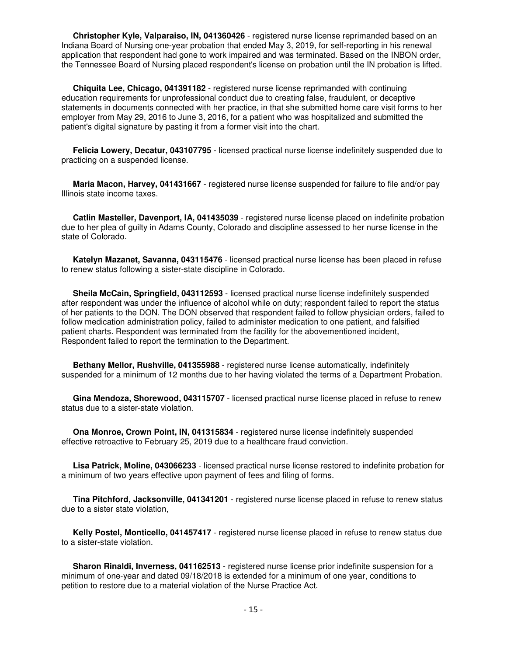**Christopher Kyle, Valparaiso, IN, 041360426** - registered nurse license reprimanded based on an Indiana Board of Nursing one-year probation that ended May 3, 2019, for self-reporting in his renewal application that respondent had gone to work impaired and was terminated. Based on the INBON order, the Tennessee Board of Nursing placed respondent's license on probation until the IN probation is lifted.

 **Chiquita Lee, Chicago, 041391182** - registered nurse license reprimanded with continuing education requirements for unprofessional conduct due to creating false, fraudulent, or deceptive statements in documents connected with her practice, in that she submitted home care visit forms to her employer from May 29, 2016 to June 3, 2016, for a patient who was hospitalized and submitted the patient's digital signature by pasting it from a former visit into the chart.

 **Felicia Lowery, Decatur, 043107795** - licensed practical nurse license indefinitely suspended due to practicing on a suspended license.

 **Maria Macon, Harvey, 041431667** - registered nurse license suspended for failure to file and/or pay Illinois state income taxes.

 **Catlin Masteller, Davenport, IA, 041435039** - registered nurse license placed on indefinite probation due to her plea of guilty in Adams County, Colorado and discipline assessed to her nurse license in the state of Colorado.

 **Katelyn Mazanet, Savanna, 043115476** - licensed practical nurse license has been placed in refuse to renew status following a sister-state discipline in Colorado.

 **Sheila McCain, Springfield, 043112593** - licensed practical nurse license indefinitely suspended after respondent was under the influence of alcohol while on duty; respondent failed to report the status of her patients to the DON. The DON observed that respondent failed to follow physician orders, failed to follow medication administration policy, failed to administer medication to one patient, and falsified patient charts. Respondent was terminated from the facility for the abovementioned incident, Respondent failed to report the termination to the Department.

 **Bethany Mellor, Rushville, 041355988** - registered nurse license automatically, indefinitely suspended for a minimum of 12 months due to her having violated the terms of a Department Probation.

 **Gina Mendoza, Shorewood, 043115707** - licensed practical nurse license placed in refuse to renew status due to a sister-state violation.

 **Ona Monroe, Crown Point, IN, 041315834** - registered nurse license indefinitely suspended effective retroactive to February 25, 2019 due to a healthcare fraud conviction.

 **Lisa Patrick, Moline, 043066233** - licensed practical nurse license restored to indefinite probation for a minimum of two years effective upon payment of fees and filing of forms.

 **Tina Pitchford, Jacksonville, 041341201** - registered nurse license placed in refuse to renew status due to a sister state violation,

 **Kelly Postel, Monticello, 041457417** - registered nurse license placed in refuse to renew status due to a sister-state violation.

**Sharon Rinaldi, Inverness, 041162513** - registered nurse license prior indefinite suspension for a minimum of one-year and dated 09/18/2018 is extended for a minimum of one year, conditions to petition to restore due to a material violation of the Nurse Practice Act.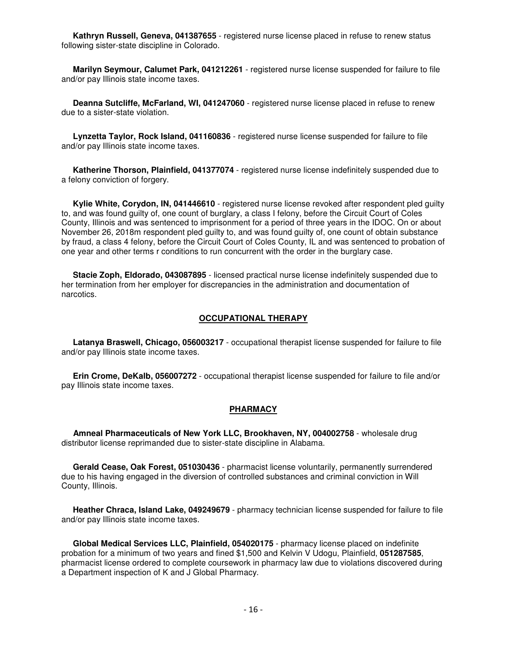**Kathryn Russell, Geneva, 041387655** - registered nurse license placed in refuse to renew status following sister-state discipline in Colorado.

 **Marilyn Seymour, Calumet Park, 041212261** - registered nurse license suspended for failure to file and/or pay Illinois state income taxes.

 **Deanna Sutcliffe, McFarland, WI, 041247060** - registered nurse license placed in refuse to renew due to a sister-state violation.

 **Lynzetta Taylor, Rock Island, 041160836** - registered nurse license suspended for failure to file and/or pay Illinois state income taxes.

 **Katherine Thorson, Plainfield, 041377074** - registered nurse license indefinitely suspended due to a felony conviction of forgery.

 **Kylie White, Corydon, IN, 041446610** - registered nurse license revoked after respondent pled guilty to, and was found guilty of, one count of burglary, a class I felony, before the Circuit Court of Coles County, Illinois and was sentenced to imprisonment for a period of three years in the IDOC. On or about November 26, 2018m respondent pled guilty to, and was found guilty of, one count of obtain substance by fraud, a class 4 felony, before the Circuit Court of Coles County, IL and was sentenced to probation of one year and other terms r conditions to run concurrent with the order in the burglary case.

 **Stacie Zoph, Eldorado, 043087895** - licensed practical nurse license indefinitely suspended due to her termination from her employer for discrepancies in the administration and documentation of narcotics.

#### **OCCUPATIONAL THERAPY**

 **Latanya Braswell, Chicago, 056003217** - occupational therapist license suspended for failure to file and/or pay Illinois state income taxes.

 **Erin Crome, DeKalb, 056007272** - occupational therapist license suspended for failure to file and/or pay Illinois state income taxes.

#### **PHARMACY**

 **Amneal Pharmaceuticals of New York LLC, Brookhaven, NY, 004002758** - wholesale drug distributor license reprimanded due to sister-state discipline in Alabama.

 **Gerald Cease, Oak Forest, 051030436** - pharmacist license voluntarily, permanently surrendered due to his having engaged in the diversion of controlled substances and criminal conviction in Will County, Illinois.

 **Heather Chraca, Island Lake, 049249679** - pharmacy technician license suspended for failure to file and/or pay Illinois state income taxes.

 **Global Medical Services LLC, Plainfield, 054020175** - pharmacy license placed on indefinite probation for a minimum of two years and fined \$1,500 and Kelvin V Udogu, Plainfield, **051287585**, pharmacist license ordered to complete coursework in pharmacy law due to violations discovered during a Department inspection of K and J Global Pharmacy.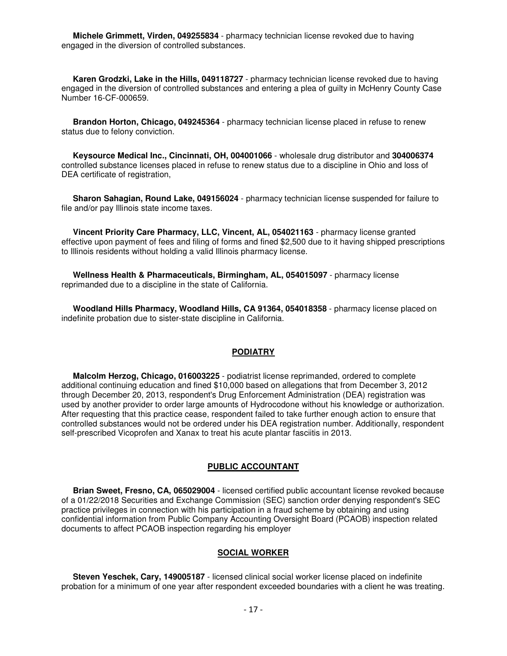**Michele Grimmett, Virden, 049255834** - pharmacy technician license revoked due to having engaged in the diversion of controlled substances.

 **Karen Grodzki, Lake in the Hills, 049118727** - pharmacy technician license revoked due to having engaged in the diversion of controlled substances and entering a plea of guilty in McHenry County Case Number 16-CF-000659.

 **Brandon Horton, Chicago, 049245364** - pharmacy technician license placed in refuse to renew status due to felony conviction.

 **Keysource Medical Inc., Cincinnati, OH, 004001066** - wholesale drug distributor and **304006374** controlled substance licenses placed in refuse to renew status due to a discipline in Ohio and loss of DEA certificate of registration.

 **Sharon Sahagian, Round Lake, 049156024** - pharmacy technician license suspended for failure to file and/or pay Illinois state income taxes.

 **Vincent Priority Care Pharmacy, LLC, Vincent, AL, 054021163** - pharmacy license granted effective upon payment of fees and filing of forms and fined \$2,500 due to it having shipped prescriptions to Illinois residents without holding a valid Illinois pharmacy license.

 **Wellness Health & Pharmaceuticals, Birmingham, AL, 054015097** - pharmacy license reprimanded due to a discipline in the state of California.

 **Woodland Hills Pharmacy, Woodland Hills, CA 91364, 054018358** - pharmacy license placed on indefinite probation due to sister-state discipline in California.

#### **PODIATRY**

 **Malcolm Herzog, Chicago, 016003225** - podiatrist license reprimanded, ordered to complete additional continuing education and fined \$10,000 based on allegations that from December 3, 2012 through December 20, 2013, respondent's Drug Enforcement Administration (DEA) registration was used by another provider to order large amounts of Hydrocodone without his knowledge or authorization. After requesting that this practice cease, respondent failed to take further enough action to ensure that controlled substances would not be ordered under his DEA registration number. Additionally, respondent self-prescribed Vicoprofen and Xanax to treat his acute plantar fasciitis in 2013.

#### **PUBLIC ACCOUNTANT**

 **Brian Sweet, Fresno, CA, 065029004** - licensed certified public accountant license revoked because of a 01/22/2018 Securities and Exchange Commission (SEC) sanction order denying respondent's SEC practice privileges in connection with his participation in a fraud scheme by obtaining and using confidential information from Public Company Accounting Oversight Board (PCAOB) inspection related documents to affect PCAOB inspection regarding his employer

#### **SOCIAL WORKER**

 **Steven Yeschek, Cary, 149005187** - licensed clinical social worker license placed on indefinite probation for a minimum of one year after respondent exceeded boundaries with a client he was treating.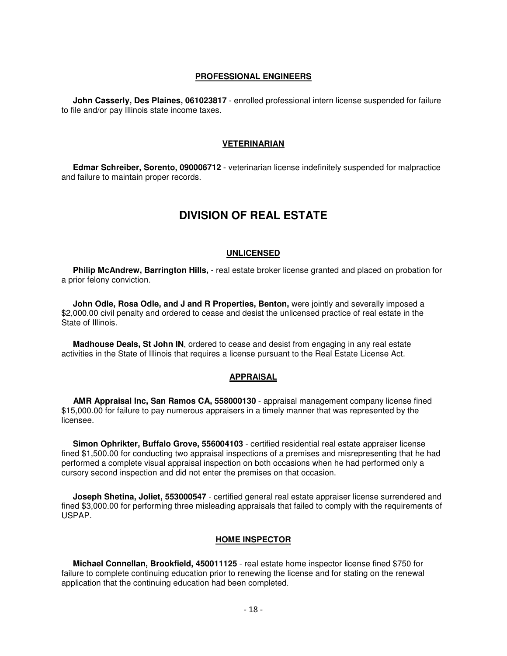#### **PROFESSIONAL ENGINEERS**

 **John Casserly, Des Plaines, 061023817** - enrolled professional intern license suspended for failure to file and/or pay Illinois state income taxes.

#### **VETERINARIAN**

 **Edmar Schreiber, Sorento, 090006712** - veterinarian license indefinitely suspended for malpractice and failure to maintain proper records.

# **DIVISION OF REAL ESTATE**

#### **UNLICENSED**

 **Philip McAndrew, Barrington Hills,** - real estate broker license granted and placed on probation for a prior felony conviction.

 **John Odle, Rosa Odle, and J and R Properties, Benton,** were jointly and severally imposed a \$2,000.00 civil penalty and ordered to cease and desist the unlicensed practice of real estate in the State of Illinois.

 **Madhouse Deals, St John IN**, ordered to cease and desist from engaging in any real estate activities in the State of Illinois that requires a license pursuant to the Real Estate License Act.

#### **APPRAISAL**

 **AMR Appraisal Inc, San Ramos CA, 558000130** - appraisal management company license fined \$15,000.00 for failure to pay numerous appraisers in a timely manner that was represented by the licensee.

 **Simon Ophrikter, Buffalo Grove, 556004103** - certified residential real estate appraiser license fined \$1,500.00 for conducting two appraisal inspections of a premises and misrepresenting that he had performed a complete visual appraisal inspection on both occasions when he had performed only a cursory second inspection and did not enter the premises on that occasion.

 **Joseph Shetina, Joliet, 553000547** - certified general real estate appraiser license surrendered and fined \$3,000.00 for performing three misleading appraisals that failed to comply with the requirements of USPAP.

#### **HOME INSPECTOR**

 **Michael Connellan, Brookfield, 450011125** - real estate home inspector license fined \$750 for failure to complete continuing education prior to renewing the license and for stating on the renewal application that the continuing education had been completed.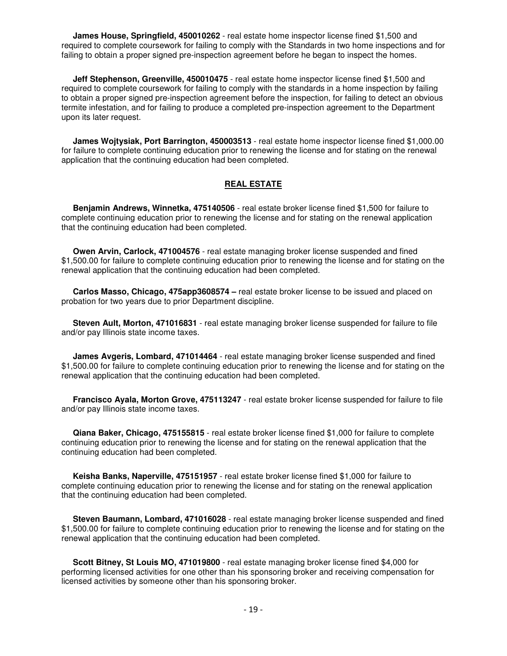**James House, Springfield, 450010262** - real estate home inspector license fined \$1,500 and required to complete coursework for failing to comply with the Standards in two home inspections and for failing to obtain a proper signed pre-inspection agreement before he began to inspect the homes.

 **Jeff Stephenson, Greenville, 450010475** - real estate home inspector license fined \$1,500 and required to complete coursework for failing to comply with the standards in a home inspection by failing to obtain a proper signed pre-inspection agreement before the inspection, for failing to detect an obvious termite infestation, and for failing to produce a completed pre-inspection agreement to the Department upon its later request.

 **James Wojtysiak, Port Barrington, 450003513** - real estate home inspector license fined \$1,000.00 for failure to complete continuing education prior to renewing the license and for stating on the renewal application that the continuing education had been completed.

#### **REAL ESTATE**

 **Benjamin Andrews, Winnetka, 475140506** - real estate broker license fined \$1,500 for failure to complete continuing education prior to renewing the license and for stating on the renewal application that the continuing education had been completed.

 **Owen Arvin, Carlock, 471004576** - real estate managing broker license suspended and fined \$1,500.00 for failure to complete continuing education prior to renewing the license and for stating on the renewal application that the continuing education had been completed.

 **Carlos Masso, Chicago, 475app3608574 –** real estate broker license to be issued and placed on probation for two years due to prior Department discipline.

 **Steven Ault, Morton, 471016831** - real estate managing broker license suspended for failure to file and/or pay Illinois state income taxes.

 **James Avgeris, Lombard, 471014464** - real estate managing broker license suspended and fined \$1,500.00 for failure to complete continuing education prior to renewing the license and for stating on the renewal application that the continuing education had been completed.

 **Francisco Ayala, Morton Grove, 475113247** - real estate broker license suspended for failure to file and/or pay Illinois state income taxes.

 **Qiana Baker, Chicago, 475155815** - real estate broker license fined \$1,000 for failure to complete continuing education prior to renewing the license and for stating on the renewal application that the continuing education had been completed.

 **Keisha Banks, Naperville, 475151957** - real estate broker license fined \$1,000 for failure to complete continuing education prior to renewing the license and for stating on the renewal application that the continuing education had been completed.

 **Steven Baumann, Lombard, 471016028** - real estate managing broker license suspended and fined \$1,500.00 for failure to complete continuing education prior to renewing the license and for stating on the renewal application that the continuing education had been completed.

 **Scott Bitney, St Louis MO, 471019800** - real estate managing broker license fined \$4,000 for performing licensed activities for one other than his sponsoring broker and receiving compensation for licensed activities by someone other than his sponsoring broker.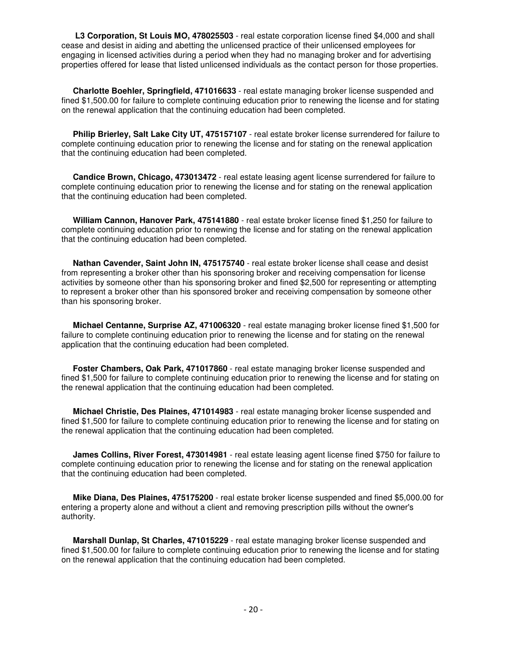**L3 Corporation, St Louis MO, 478025503** - real estate corporation license fined \$4,000 and shall cease and desist in aiding and abetting the unlicensed practice of their unlicensed employees for engaging in licensed activities during a period when they had no managing broker and for advertising properties offered for lease that listed unlicensed individuals as the contact person for those properties.

 **Charlotte Boehler, Springfield, 471016633** - real estate managing broker license suspended and fined \$1,500.00 for failure to complete continuing education prior to renewing the license and for stating on the renewal application that the continuing education had been completed.

 **Philip Brierley, Salt Lake City UT, 475157107** - real estate broker license surrendered for failure to complete continuing education prior to renewing the license and for stating on the renewal application that the continuing education had been completed.

 **Candice Brown, Chicago, 473013472** - real estate leasing agent license surrendered for failure to complete continuing education prior to renewing the license and for stating on the renewal application that the continuing education had been completed.

 **William Cannon, Hanover Park, 475141880** - real estate broker license fined \$1,250 for failure to complete continuing education prior to renewing the license and for stating on the renewal application that the continuing education had been completed.

 **Nathan Cavender, Saint John IN, 475175740** - real estate broker license shall cease and desist from representing a broker other than his sponsoring broker and receiving compensation for license activities by someone other than his sponsoring broker and fined \$2,500 for representing or attempting to represent a broker other than his sponsored broker and receiving compensation by someone other than his sponsoring broker.

 **Michael Centanne, Surprise AZ, 471006320** - real estate managing broker license fined \$1,500 for failure to complete continuing education prior to renewing the license and for stating on the renewal application that the continuing education had been completed.

 **Foster Chambers, Oak Park, 471017860** - real estate managing broker license suspended and fined \$1,500 for failure to complete continuing education prior to renewing the license and for stating on the renewal application that the continuing education had been completed.

 **Michael Christie, Des Plaines, 471014983** - real estate managing broker license suspended and fined \$1,500 for failure to complete continuing education prior to renewing the license and for stating on the renewal application that the continuing education had been completed.

 **James Collins, River Forest, 473014981** - real estate leasing agent license fined \$750 for failure to complete continuing education prior to renewing the license and for stating on the renewal application that the continuing education had been completed.

 **Mike Diana, Des Plaines, 475175200** - real estate broker license suspended and fined \$5,000.00 for entering a property alone and without a client and removing prescription pills without the owner's authority.

 **Marshall Dunlap, St Charles, 471015229** - real estate managing broker license suspended and fined \$1,500.00 for failure to complete continuing education prior to renewing the license and for stating on the renewal application that the continuing education had been completed.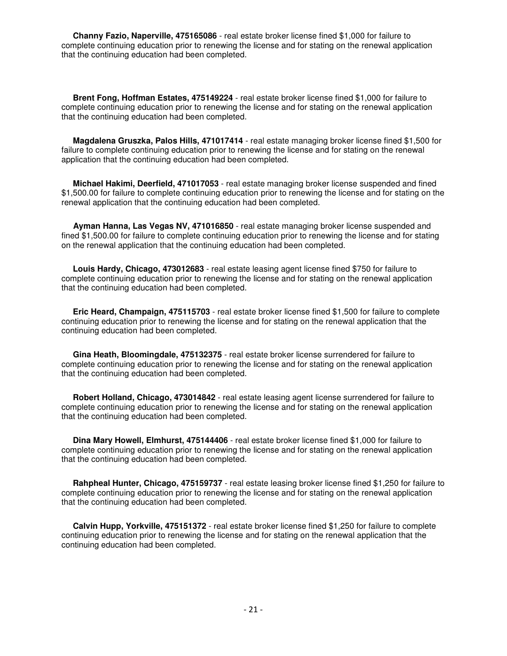**Channy Fazio, Naperville, 475165086** - real estate broker license fined \$1,000 for failure to complete continuing education prior to renewing the license and for stating on the renewal application that the continuing education had been completed.

 **Brent Fong, Hoffman Estates, 475149224** - real estate broker license fined \$1,000 for failure to complete continuing education prior to renewing the license and for stating on the renewal application that the continuing education had been completed.

 **Magdalena Gruszka, Palos Hills, 471017414** - real estate managing broker license fined \$1,500 for failure to complete continuing education prior to renewing the license and for stating on the renewal application that the continuing education had been completed.

 **Michael Hakimi, Deerfield, 471017053** - real estate managing broker license suspended and fined \$1,500.00 for failure to complete continuing education prior to renewing the license and for stating on the renewal application that the continuing education had been completed.

 **Ayman Hanna, Las Vegas NV, 471016850** - real estate managing broker license suspended and fined \$1,500.00 for failure to complete continuing education prior to renewing the license and for stating on the renewal application that the continuing education had been completed.

 **Louis Hardy, Chicago, 473012683** - real estate leasing agent license fined \$750 for failure to complete continuing education prior to renewing the license and for stating on the renewal application that the continuing education had been completed.

 **Eric Heard, Champaign, 475115703** - real estate broker license fined \$1,500 for failure to complete continuing education prior to renewing the license and for stating on the renewal application that the continuing education had been completed.

 **Gina Heath, Bloomingdale, 475132375** - real estate broker license surrendered for failure to complete continuing education prior to renewing the license and for stating on the renewal application that the continuing education had been completed.

 **Robert Holland, Chicago, 473014842** - real estate leasing agent license surrendered for failure to complete continuing education prior to renewing the license and for stating on the renewal application that the continuing education had been completed.

 **Dina Mary Howell, Elmhurst, 475144406** - real estate broker license fined \$1,000 for failure to complete continuing education prior to renewing the license and for stating on the renewal application that the continuing education had been completed.

 **Rahpheal Hunter, Chicago, 475159737** - real estate leasing broker license fined \$1,250 for failure to complete continuing education prior to renewing the license and for stating on the renewal application that the continuing education had been completed.

 **Calvin Hupp, Yorkville, 475151372** - real estate broker license fined \$1,250 for failure to complete continuing education prior to renewing the license and for stating on the renewal application that the continuing education had been completed.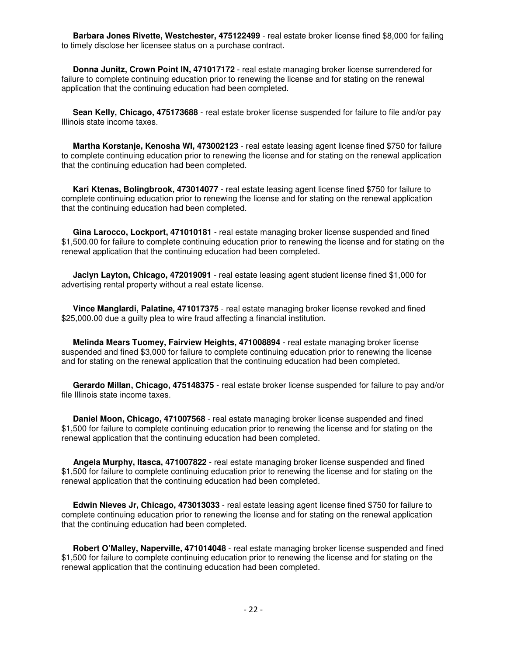**Barbara Jones Rivette, Westchester, 475122499** - real estate broker license fined \$8,000 for failing to timely disclose her licensee status on a purchase contract.

 **Donna Junitz, Crown Point IN, 471017172** - real estate managing broker license surrendered for failure to complete continuing education prior to renewing the license and for stating on the renewal application that the continuing education had been completed.

 **Sean Kelly, Chicago, 475173688** - real estate broker license suspended for failure to file and/or pay Illinois state income taxes.

 **Martha Korstanje, Kenosha WI, 473002123** - real estate leasing agent license fined \$750 for failure to complete continuing education prior to renewing the license and for stating on the renewal application that the continuing education had been completed.

 **Kari Ktenas, Bolingbrook, 473014077** - real estate leasing agent license fined \$750 for failure to complete continuing education prior to renewing the license and for stating on the renewal application that the continuing education had been completed.

 **Gina Larocco, Lockport, 471010181** - real estate managing broker license suspended and fined \$1,500.00 for failure to complete continuing education prior to renewing the license and for stating on the renewal application that the continuing education had been completed.

 **Jaclyn Layton, Chicago, 472019091** - real estate leasing agent student license fined \$1,000 for advertising rental property without a real estate license.

 **Vince Manglardi, Palatine, 471017375** - real estate managing broker license revoked and fined \$25,000.00 due a guilty plea to wire fraud affecting a financial institution.

 **Melinda Mears Tuomey, Fairview Heights, 471008894** - real estate managing broker license suspended and fined \$3,000 for failure to complete continuing education prior to renewing the license and for stating on the renewal application that the continuing education had been completed.

 **Gerardo Millan, Chicago, 475148375** - real estate broker license suspended for failure to pay and/or file Illinois state income taxes.

 **Daniel Moon, Chicago, 471007568** - real estate managing broker license suspended and fined \$1,500 for failure to complete continuing education prior to renewing the license and for stating on the renewal application that the continuing education had been completed.

 **Angela Murphy, Itasca, 471007822** - real estate managing broker license suspended and fined \$1,500 for failure to complete continuing education prior to renewing the license and for stating on the renewal application that the continuing education had been completed.

 **Edwin Nieves Jr, Chicago, 473013033** - real estate leasing agent license fined \$750 for failure to complete continuing education prior to renewing the license and for stating on the renewal application that the continuing education had been completed.

 **Robert O'Malley, Naperville, 471014048** - real estate managing broker license suspended and fined \$1,500 for failure to complete continuing education prior to renewing the license and for stating on the renewal application that the continuing education had been completed.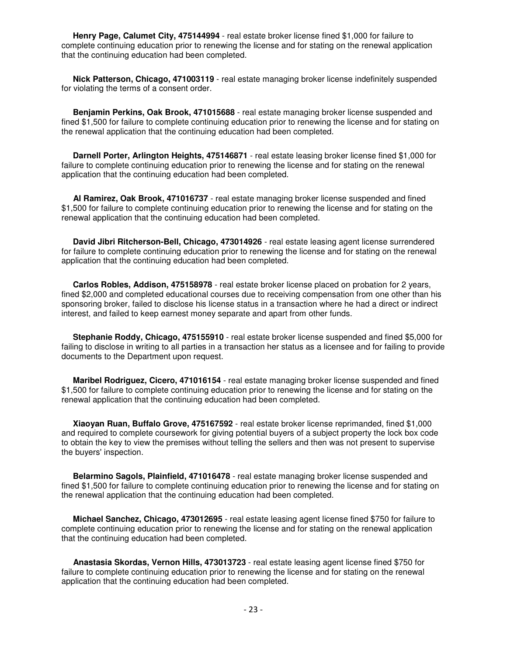**Henry Page, Calumet City, 475144994** - real estate broker license fined \$1,000 for failure to complete continuing education prior to renewing the license and for stating on the renewal application that the continuing education had been completed.

 **Nick Patterson, Chicago, 471003119** - real estate managing broker license indefinitely suspended for violating the terms of a consent order.

 **Benjamin Perkins, Oak Brook, 471015688** - real estate managing broker license suspended and fined \$1,500 for failure to complete continuing education prior to renewing the license and for stating on the renewal application that the continuing education had been completed.

 **Darnell Porter, Arlington Heights, 475146871** - real estate leasing broker license fined \$1,000 for failure to complete continuing education prior to renewing the license and for stating on the renewal application that the continuing education had been completed.

 **Al Ramirez, Oak Brook, 471016737** - real estate managing broker license suspended and fined \$1,500 for failure to complete continuing education prior to renewing the license and for stating on the renewal application that the continuing education had been completed.

 **David Jibri Ritcherson-Bell, Chicago, 473014926** - real estate leasing agent license surrendered for failure to complete continuing education prior to renewing the license and for stating on the renewal application that the continuing education had been completed.

 **Carlos Robles, Addison, 475158978** - real estate broker license placed on probation for 2 years, fined \$2,000 and completed educational courses due to receiving compensation from one other than his sponsoring broker, failed to disclose his license status in a transaction where he had a direct or indirect interest, and failed to keep earnest money separate and apart from other funds.

 **Stephanie Roddy, Chicago, 475155910** - real estate broker license suspended and fined \$5,000 for failing to disclose in writing to all parties in a transaction her status as a licensee and for failing to provide documents to the Department upon request.

 **Maribel Rodriguez, Cicero, 471016154** - real estate managing broker license suspended and fined \$1,500 for failure to complete continuing education prior to renewing the license and for stating on the renewal application that the continuing education had been completed.

 **Xiaoyan Ruan, Buffalo Grove, 475167592** - real estate broker license reprimanded, fined \$1,000 and required to complete coursework for giving potential buyers of a subject property the lock box code to obtain the key to view the premises without telling the sellers and then was not present to supervise the buyers' inspection.

 **Belarmino Sagols, Plainfield, 471016478** - real estate managing broker license suspended and fined \$1,500 for failure to complete continuing education prior to renewing the license and for stating on the renewal application that the continuing education had been completed.

 **Michael Sanchez, Chicago, 473012695** - real estate leasing agent license fined \$750 for failure to complete continuing education prior to renewing the license and for stating on the renewal application that the continuing education had been completed.

 **Anastasia Skordas, Vernon Hills, 473013723** - real estate leasing agent license fined \$750 for failure to complete continuing education prior to renewing the license and for stating on the renewal application that the continuing education had been completed.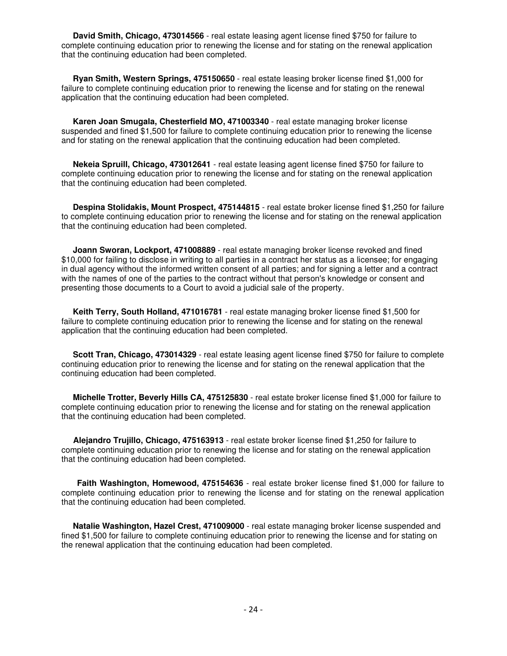**David Smith, Chicago, 473014566** - real estate leasing agent license fined \$750 for failure to complete continuing education prior to renewing the license and for stating on the renewal application that the continuing education had been completed.

 **Ryan Smith, Western Springs, 475150650** - real estate leasing broker license fined \$1,000 for failure to complete continuing education prior to renewing the license and for stating on the renewal application that the continuing education had been completed.

 **Karen Joan Smugala, Chesterfield MO, 471003340** - real estate managing broker license suspended and fined \$1,500 for failure to complete continuing education prior to renewing the license and for stating on the renewal application that the continuing education had been completed.

 **Nekeia Spruill, Chicago, 473012641** - real estate leasing agent license fined \$750 for failure to complete continuing education prior to renewing the license and for stating on the renewal application that the continuing education had been completed.

 **Despina Stolidakis, Mount Prospect, 475144815** - real estate broker license fined \$1,250 for failure to complete continuing education prior to renewing the license and for stating on the renewal application that the continuing education had been completed.

 **Joann Sworan, Lockport, 471008889** - real estate managing broker license revoked and fined \$10,000 for failing to disclose in writing to all parties in a contract her status as a licensee; for engaging in dual agency without the informed written consent of all parties; and for signing a letter and a contract with the names of one of the parties to the contract without that person's knowledge or consent and presenting those documents to a Court to avoid a judicial sale of the property.

 **Keith Terry, South Holland, 471016781** - real estate managing broker license fined \$1,500 for failure to complete continuing education prior to renewing the license and for stating on the renewal application that the continuing education had been completed.

 **Scott Tran, Chicago, 473014329** - real estate leasing agent license fined \$750 for failure to complete continuing education prior to renewing the license and for stating on the renewal application that the continuing education had been completed.

 **Michelle Trotter, Beverly Hills CA, 475125830** - real estate broker license fined \$1,000 for failure to complete continuing education prior to renewing the license and for stating on the renewal application that the continuing education had been completed.

 **Alejandro Trujillo, Chicago, 475163913** - real estate broker license fined \$1,250 for failure to complete continuing education prior to renewing the license and for stating on the renewal application that the continuing education had been completed.

 **Faith Washington, Homewood, 475154636** - real estate broker license fined \$1,000 for failure to complete continuing education prior to renewing the license and for stating on the renewal application that the continuing education had been completed.

**Natalie Washington, Hazel Crest, 471009000** - real estate managing broker license suspended and fined \$1,500 for failure to complete continuing education prior to renewing the license and for stating on the renewal application that the continuing education had been completed.